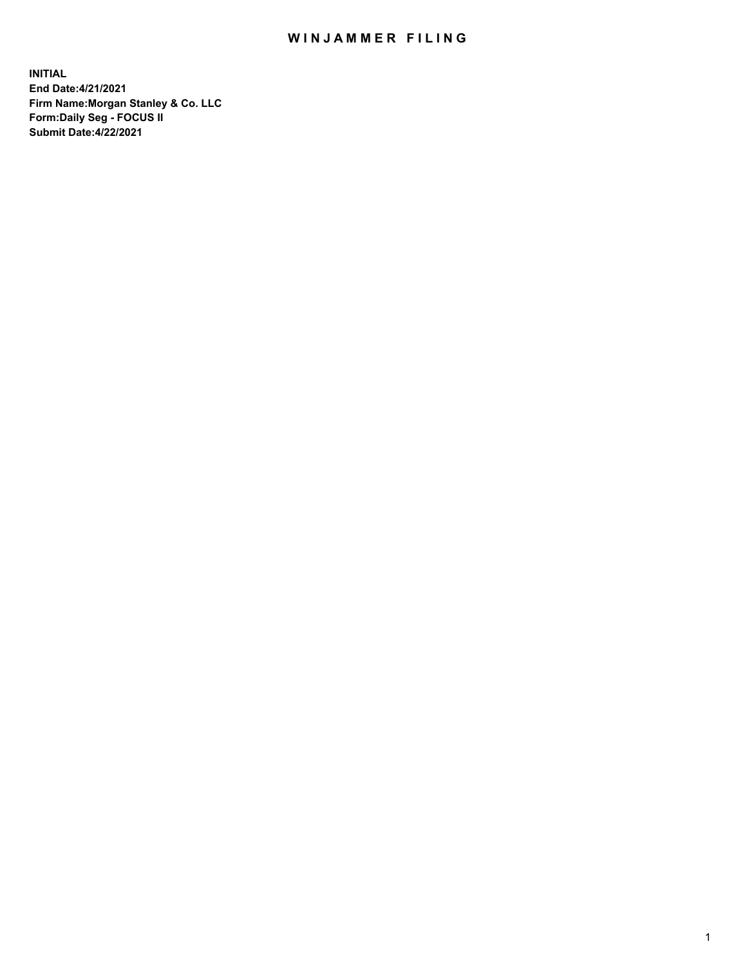## WIN JAMMER FILING

**INITIAL End Date:4/21/2021 Firm Name:Morgan Stanley & Co. LLC Form:Daily Seg - FOCUS II Submit Date:4/22/2021**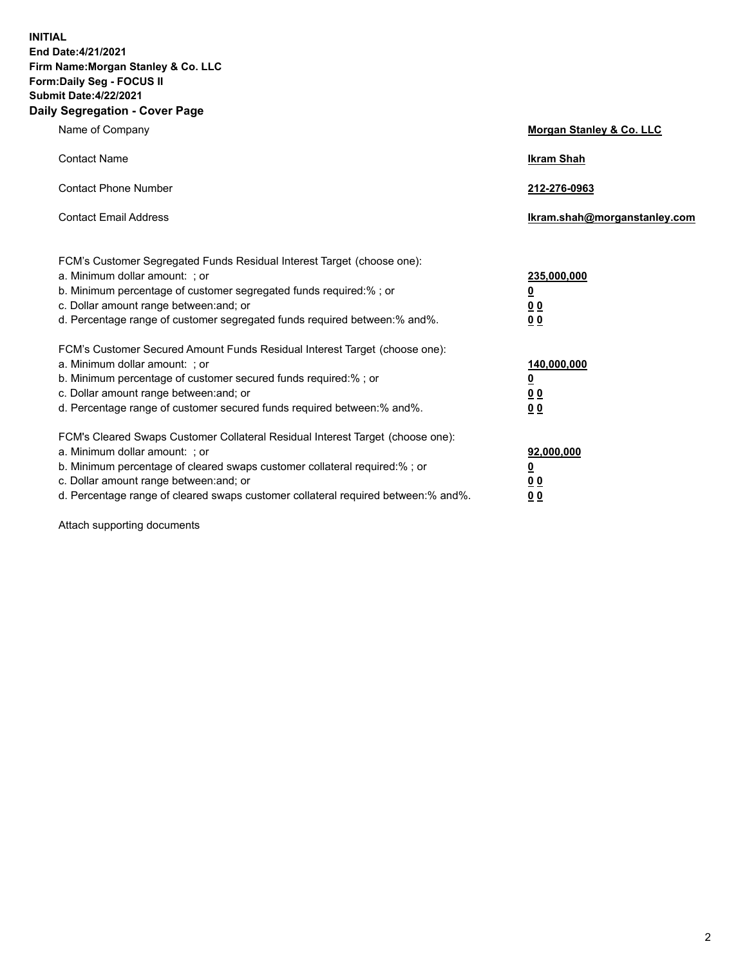**INITIAL End Date:4/21/2021 Firm Name:Morgan Stanley & Co. LLC Form:Daily Seg - FOCUS II Submit Date:4/22/2021 Daily Segregation - Cover Page**

| Name of Company                                                                                                                                                                                                                                                                                                                | <b>Morgan Stanley &amp; Co. LLC</b>                         |
|--------------------------------------------------------------------------------------------------------------------------------------------------------------------------------------------------------------------------------------------------------------------------------------------------------------------------------|-------------------------------------------------------------|
| <b>Contact Name</b>                                                                                                                                                                                                                                                                                                            | <b>Ikram Shah</b>                                           |
| <b>Contact Phone Number</b>                                                                                                                                                                                                                                                                                                    | 212-276-0963                                                |
| <b>Contact Email Address</b>                                                                                                                                                                                                                                                                                                   | Ikram.shah@morganstanley.com                                |
| FCM's Customer Segregated Funds Residual Interest Target (choose one):<br>a. Minimum dollar amount: ; or<br>b. Minimum percentage of customer segregated funds required:%; or<br>c. Dollar amount range between: and; or<br>d. Percentage range of customer segregated funds required between:% and%.                          | 235,000,000<br><u>0</u><br>0 <sub>0</sub><br>0 <sub>0</sub> |
| FCM's Customer Secured Amount Funds Residual Interest Target (choose one):<br>a. Minimum dollar amount: ; or<br>b. Minimum percentage of customer secured funds required:% ; or<br>c. Dollar amount range between: and; or<br>d. Percentage range of customer secured funds required between:% and%.                           | 140,000,000<br><u>0</u><br>0 <sub>0</sub><br>0 <sub>0</sub> |
| FCM's Cleared Swaps Customer Collateral Residual Interest Target (choose one):<br>a. Minimum dollar amount: ; or<br>b. Minimum percentage of cleared swaps customer collateral required:% ; or<br>c. Dollar amount range between: and; or<br>d. Percentage range of cleared swaps customer collateral required between:% and%. | 92,000,000<br><u>0</u><br><u>00</u><br>0 <sub>0</sub>       |

Attach supporting documents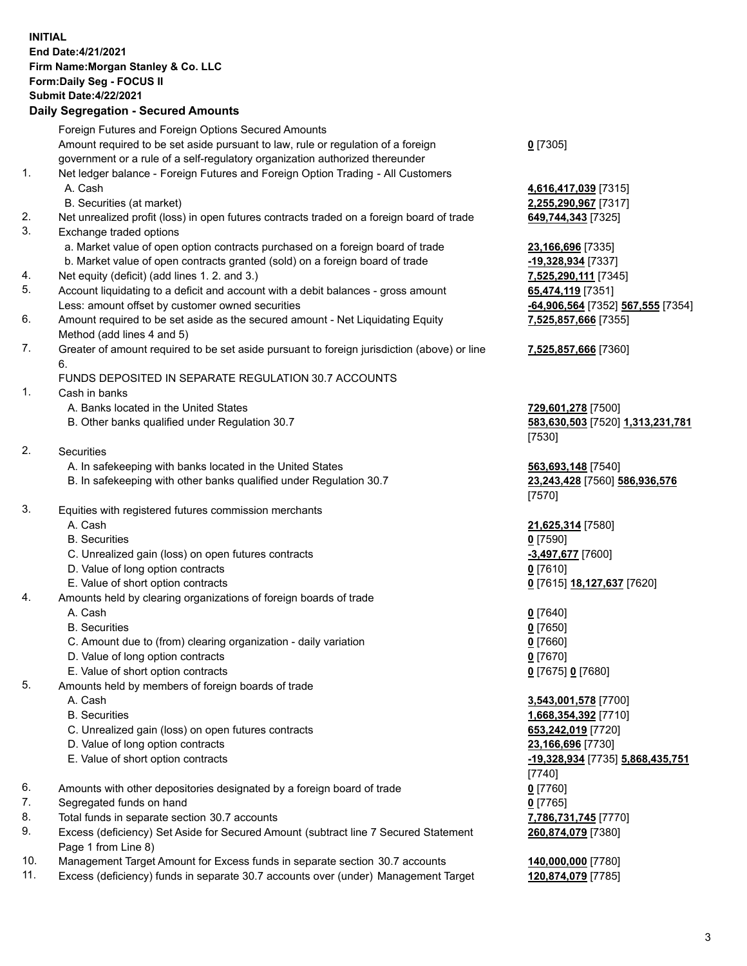## **INITIAL End Date:4/21/2021 Firm Name:Morgan Stanley & Co. LLC Form:Daily Seg - FOCUS II Submit Date:4/22/2021**

## **Daily Segregation - Secured Amounts**

|          | Foreign Futures and Foreign Options Secured Amounts                                                       |                                              |
|----------|-----------------------------------------------------------------------------------------------------------|----------------------------------------------|
|          | Amount required to be set aside pursuant to law, rule or regulation of a foreign                          | $0$ [7305]                                   |
|          | government or a rule of a self-regulatory organization authorized thereunder                              |                                              |
| 1.       | Net ledger balance - Foreign Futures and Foreign Option Trading - All Customers                           |                                              |
|          | A. Cash                                                                                                   | 4,616,417,039 [7315]                         |
|          | B. Securities (at market)                                                                                 | 2,255,290,967 [7317]                         |
| 2.<br>3. | Net unrealized profit (loss) in open futures contracts traded on a foreign board of trade                 | 649,744,343 [7325]                           |
|          | Exchange traded options<br>a. Market value of open option contracts purchased on a foreign board of trade |                                              |
|          | b. Market value of open contracts granted (sold) on a foreign board of trade                              | 23,166,696 [7335]<br>-19,328,934 [7337]      |
| 4.       | Net equity (deficit) (add lines 1. 2. and 3.)                                                             | 7,525,290,111 [7345]                         |
| 5.       | Account liquidating to a deficit and account with a debit balances - gross amount                         | 65,474,119 [7351]                            |
|          | Less: amount offset by customer owned securities                                                          | -64,906,564 [7352] 567,555 [7354]            |
| 6.       | Amount required to be set aside as the secured amount - Net Liquidating Equity                            | 7,525,857,666 [7355]                         |
|          | Method (add lines 4 and 5)                                                                                |                                              |
| 7.       | Greater of amount required to be set aside pursuant to foreign jurisdiction (above) or line<br>6.         | 7,525,857,666 [7360]                         |
|          | FUNDS DEPOSITED IN SEPARATE REGULATION 30.7 ACCOUNTS                                                      |                                              |
| 1.       | Cash in banks                                                                                             |                                              |
|          | A. Banks located in the United States                                                                     | 729,601,278 [7500]                           |
|          | B. Other banks qualified under Regulation 30.7                                                            | 583,630,503 [7520] 1,313,231,781             |
|          |                                                                                                           | [7530]                                       |
| 2.       | <b>Securities</b>                                                                                         |                                              |
|          | A. In safekeeping with banks located in the United States                                                 | 563,693,148 [7540]                           |
|          | B. In safekeeping with other banks qualified under Regulation 30.7                                        | 23,243,428 [7560] 586,936,576<br>[7570]      |
| 3.       | Equities with registered futures commission merchants                                                     |                                              |
|          | A. Cash                                                                                                   | 21,625,314 [7580]                            |
|          | <b>B.</b> Securities                                                                                      | $0$ [7590]                                   |
|          | C. Unrealized gain (loss) on open futures contracts                                                       | -3,497,677 [7600]                            |
|          | D. Value of long option contracts                                                                         | $0$ [7610]                                   |
|          | E. Value of short option contracts                                                                        | 0 [7615] 18,127,637 [7620]                   |
| 4.       | Amounts held by clearing organizations of foreign boards of trade                                         |                                              |
|          | A. Cash                                                                                                   | $0$ [7640]                                   |
|          | <b>B.</b> Securities                                                                                      | $0$ [7650]                                   |
|          | C. Amount due to (from) clearing organization - daily variation                                           | $0$ [7660]                                   |
|          | D. Value of long option contracts                                                                         | $0$ [7670]                                   |
| 5.       | E. Value of short option contracts                                                                        | 0 [7675] 0 [7680]                            |
|          | Amounts held by members of foreign boards of trade                                                        |                                              |
|          | A. Cash<br><b>B.</b> Securities                                                                           | 3,543,001,578 [7700]<br>1,668,354,392 [7710] |
|          | C. Unrealized gain (loss) on open futures contracts                                                       | 653,242,019 [7720]                           |
|          | D. Value of long option contracts                                                                         | 23,166,696 [7730]                            |
|          | E. Value of short option contracts                                                                        | -19,328,934 [7735] 5,868,435,751             |
|          |                                                                                                           | $[7740]$                                     |
| 6.       | Amounts with other depositories designated by a foreign board of trade                                    | $0$ [7760]                                   |
| 7.       | Segregated funds on hand                                                                                  | $0$ [7765]                                   |
| 8.       | Total funds in separate section 30.7 accounts                                                             | 7,786,731,745 [7770]                         |
| 9.       | Excess (deficiency) Set Aside for Secured Amount (subtract line 7 Secured Statement                       | 260,874,079 [7380]                           |
|          | Page 1 from Line 8)                                                                                       |                                              |

- 10. Management Target Amount for Excess funds in separate section 30.7 accounts **140,000,000** [7780]
- 11. Excess (deficiency) funds in separate 30.7 accounts over (under) Management Target **120,874,079** [7785]

3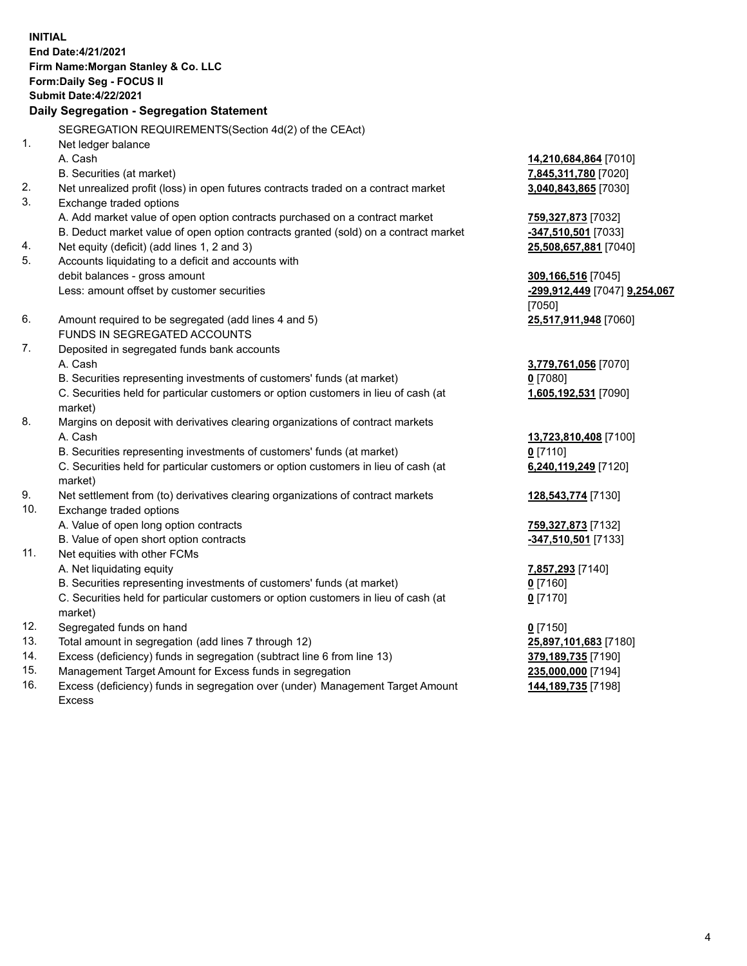**INITIAL End Date:4/21/2021 Firm Name:Morgan Stanley & Co. LLC Form:Daily Seg - FOCUS II Submit Date:4/22/2021 Daily Segregation - Segregation Statement** SEGREGATION REQUIREMENTS(Section 4d(2) of the CEAct) 1. Net ledger balance A. Cash **14,210,684,864** [7010] B. Securities (at market) **7,845,311,780** [7020] 2. Net unrealized profit (loss) in open futures contracts traded on a contract market **3,040,843,865** [7030] 3. Exchange traded options A. Add market value of open option contracts purchased on a contract market **759,327,873** [7032] B. Deduct market value of open option contracts granted (sold) on a contract market **-347,510,501** [7033] 4. Net equity (deficit) (add lines 1, 2 and 3) **25,508,657,881** [7040] 5. Accounts liquidating to a deficit and accounts with debit balances - gross amount **309,166,516** [7045] Less: amount offset by customer securities **-299,912,449** [7047] **9,254,067** [7050] 6. Amount required to be segregated (add lines 4 and 5) **25,517,911,948** [7060] FUNDS IN SEGREGATED ACCOUNTS 7. Deposited in segregated funds bank accounts A. Cash **3,779,761,056** [7070] B. Securities representing investments of customers' funds (at market) **0** [7080] C. Securities held for particular customers or option customers in lieu of cash (at market) **1,605,192,531** [7090] 8. Margins on deposit with derivatives clearing organizations of contract markets A. Cash **13,723,810,408** [7100] B. Securities representing investments of customers' funds (at market) **0** [7110] C. Securities held for particular customers or option customers in lieu of cash (at market) **6,240,119,249** [7120] 9. Net settlement from (to) derivatives clearing organizations of contract markets **128,543,774** [7130] 10. Exchange traded options A. Value of open long option contracts **759,327,873** [7132] B. Value of open short option contracts **-347,510,501** [7133] 11. Net equities with other FCMs A. Net liquidating equity **7,857,293** [7140] B. Securities representing investments of customers' funds (at market) **0** [7160] C. Securities held for particular customers or option customers in lieu of cash (at market) **0** [7170] 12. Segregated funds on hand **0** [7150] 13. Total amount in segregation (add lines 7 through 12) **25,897,101,683** [7180] 14. Excess (deficiency) funds in segregation (subtract line 6 from line 13) **379,189,735** [7190] 15. Management Target Amount for Excess funds in segregation **235,000,000** [7194]

16. Excess (deficiency) funds in segregation over (under) Management Target Amount Excess

**144,189,735** [7198]